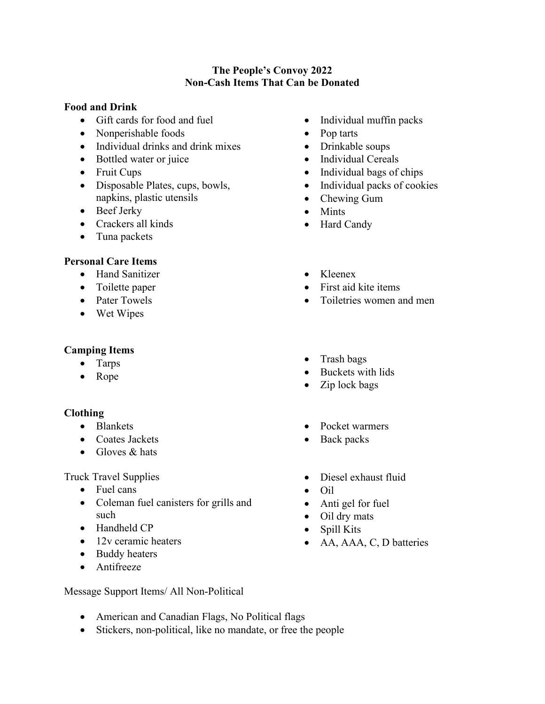#### **The People's Convoy 2022 Non-Cash Items That Can be Donated**

#### **Food and Drink**

- Gift cards for food and fuel
- Nonperishable foods
- Individual drinks and drink mixes
- Bottled water or juice
- Fruit Cups
- Disposable Plates, cups, bowls, napkins, plastic utensils
- Beef Jerky
- Crackers all kinds
- Tuna packets

# **Personal Care Items**

- Hand Sanitizer
- Toilette paper
- Pater Towels
- 

# **Camping Items**

- Tarps
- 

## **Clothing**

- Blankets
- Coates Jackets
- Blankets Pocket warmers<br>
Coates Jackets Back packs<br>
Gloves & hats

## Truck Travel Supplies

- Fuel cans
- Coleman fuel canisters for grills and such
- Handheld CP
- 12v ceramic heaters
- Buddy heaters
- Antifreeze
- Individual muffin packs
- Pop tarts
- Drinkable soups
- Individual Cereals
- $\bullet$  Individual bags of chips
- Individual packs of cookies
- Chewing Gum
- Mints
- Hard Candy
- 
- First aid kite items
- Hand Sanitizer<br>
Toilette paper<br>
Pater Towels<br>
Wet Wipes<br>
Wet Wipes • Toiletries women and men
	-
- Rope Trash bags Buckets with lids Zip lock bags
	-
	-
	-
	- Diesel exhaust fluid
	- Anti gel for fuel
	- Oil dry mats
	- Spill Kits
	- AA, AAA, C, D batteries
- Message Support Items/ All Non-Political
	- American and Canadian Flags, No Political flags
	- Stickers, non-political, like no mandate, or free the people
- 
- - Oil
	- -
		-
		-